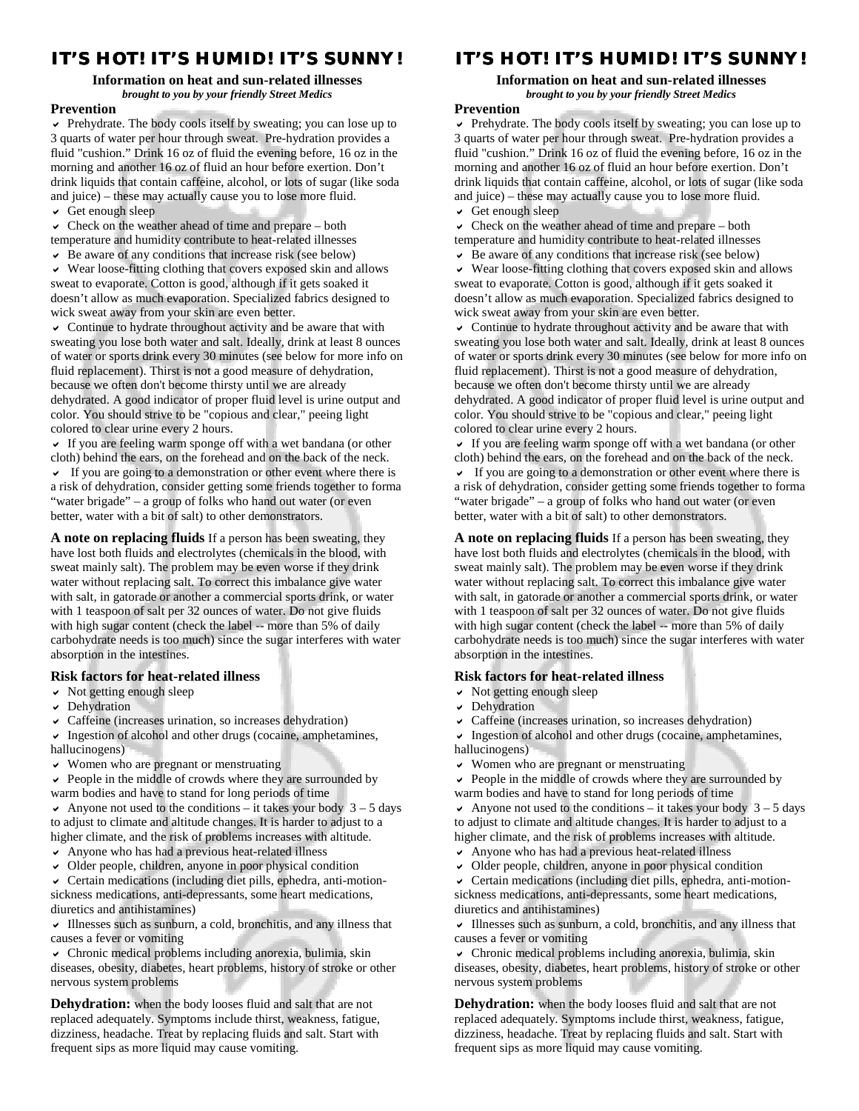# **IT'S HOT! IT'S HUMID! IT'S SUNNY!**

## **Information on heat and sun-related illnesses**  *brought to you by your friendly Street Medics*

#### **Prevention**

 Prehydrate. The body cools itself by sweating; you can lose up to 3 quarts of water per hour through sweat. Pre-hydration provides a fluid "cushion." Drink 16 oz of fluid the evening before, 16 oz in the morning and another 16 oz of fluid an hour before exertion. Don't drink liquids that contain caffeine, alcohol, or lots of sugar (like soda and juice) – these may actually cause you to lose more fluid.

 $\vee$  Get enough sleep

 $\vee$  Check on the weather ahead of time and prepare – both temperature and humidity contribute to heat-related illnesses

 $\triangleright$  Be aware of any conditions that increase risk (see below)

 Wear loose-fitting clothing that covers exposed skin and allows sweat to evaporate. Cotton is good, although if it gets soaked it doesn't allow as much evaporation. Specialized fabrics designed to wick sweat away from your skin are even better.

 Continue to hydrate throughout activity and be aware that with sweating you lose both water and salt. Ideally, drink at least 8 ounces of water or sports drink every 30 minutes (see below for more info on fluid replacement). Thirst is not a good measure of dehydration, because we often don't become thirsty until we are already dehydrated. A good indicator of proper fluid level is urine output and color. You should strive to be "copious and clear," peeing light colored to clear urine every 2 hours.

 If you are feeling warm sponge off with a wet bandana (or other cloth) behind the ears, on the forehead and on the back of the neck.  $\vee$  If you are going to a demonstration or other event where there is a risk of dehydration, consider getting some friends together to forma "water brigade" – a group of folks who hand out water (or even better, water with a bit of salt) to other demonstrators.

**A note on replacing fluids** If a person has been sweating, they have lost both fluids and electrolytes (chemicals in the blood, with sweat mainly salt). The problem may be even worse if they drink water without replacing salt. To correct this imbalance give water with salt, in gatorade or another a commercial sports drink, or water with 1 teaspoon of salt per 32 ounces of water. Do not give fluids with high sugar content (check the label -- more than 5% of daily carbohydrate needs is too much) since the sugar interferes with water absorption in the intestines.

#### **Risk factors for heat-related illness**

 $\vee$  Not getting enough sleep

- $\triangleright$  Dehydration
- $\vee$  Caffeine (increases urination, so increases dehydration)

 $\vee$  Ingestion of alcohol and other drugs (cocaine, amphetamines, hallucinogens)

Women who are pregnant or menstruating

 $\vee$  People in the middle of crowds where they are surrounded by warm bodies and have to stand for long periods of time

- Anyone not used to the conditions it takes your body  $3 5$  days to adjust to climate and altitude changes. It is harder to adjust to a higher climate, and the risk of problems increases with altitude.
- Anyone who has had a previous heat-related illness
- $\vee$  Older people, children, anyone in poor physical condition

 Certain medications (including diet pills, ephedra, anti-motionsickness medications, anti-depressants, some heart medications, diuretics and antihistamines)

 $\vee$  Illnesses such as sunburn, a cold, bronchitis, and any illness that causes a fever or vomiting

 Chronic medical problems including anorexia, bulimia, skin diseases, obesity, diabetes, heart problems, history of stroke or other nervous system problems

**Dehydration:** when the body looses fluid and salt that are not replaced adequately. Symptoms include thirst, weakness, fatigue, dizziness, headache. Treat by replacing fluids and salt. Start with frequent sips as more liquid may cause vomiting.

## **IT'S HOT! IT'S HUMID! IT'S SUNNY! IT'S HOT! IT'S HUMID! SUNNY!**

#### **Information on heat and sun-related illnesses**  *brought to you by your friendly Street Medics*

#### **Prevention**

 Prehydrate. The body cools itself by sweating; you can lose up to 3 quarts of water per hour through sweat. Pre-hydration provides a fluid "cushion." Drink 16 oz of fluid the evening before, 16 oz in the morning and another 16 oz of fluid an hour before exertion. Don't drink liquids that contain caffeine, alcohol, or lots of sugar (like soda and juice) – these may actually cause you to lose more fluid.  $\vee$  Get enough sleep

 $\vee$  Check on the weather ahead of time and prepare – both temperature and humidity contribute to heat-related illnesses

- $\triangleright$  Be aware of any conditions that increase risk (see below)
- Wear loose-fitting clothing that covers exposed skin and allows sweat to evaporate. Cotton is good, although if it gets soaked it doesn't allow as much evaporation. Specialized fabrics designed to wick sweat away from your skin are even better.

 Continue to hydrate throughout activity and be aware that with sweating you lose both water and salt. Ideally, drink at least 8 ounces of water or sports drink every 30 minutes (see below for more info on fluid replacement). Thirst is not a good measure of dehydration, because we often don't become thirsty until we are already dehydrated. A good indicator of proper fluid level is urine output and color. You should strive to be "copious and clear," peeing light colored to clear urine every 2 hours.

 If you are feeling warm sponge off with a wet bandana (or other cloth) behind the ears, on the forehead and on the back of the neck.  $\vee$  If you are going to a demonstration or other event where there is a risk of dehydration, consider getting some friends together to forma "water brigade" – a group of folks who hand out water (or even better, water with a bit of salt) to other demonstrators.

**A note on replacing fluids** If a person has been sweating, they have lost both fluids and electrolytes (chemicals in the blood, with sweat mainly salt). The problem may be even worse if they drink water without replacing salt. To correct this imbalance give water with salt, in gatorade or another a commercial sports drink, or water with 1 teaspoon of salt per 32 ounces of water. Do not give fluids with high sugar content (check the label -- more than 5% of daily carbohydrate needs is too much) since the sugar interferes with water absorption in the intestines.

## **Risk factors for heat-related illness**

- $\vee$  Not getting enough sleep
- Dehydration

Caffeine (increases urination, so increases dehydration)

 $\vee$  Ingestion of alcohol and other drugs (cocaine, amphetamines, hallucinogens)

Women who are pregnant or menstruating

 $\vee$  People in the middle of crowds where they are surrounded by warm bodies and have to stand for long periods of time

Anyone not used to the conditions – it takes your body  $3 - 5$  days to adjust to climate and altitude changes. It is harder to adjust to a higher climate, and the risk of problems increases with altitude.

- Anyone who has had a previous heat-related illness
- $\vee$  Older people, children, anyone in poor physical condition

 Certain medications (including diet pills, ephedra, anti-motionsickness medications, anti-depressants, some heart medications, diuretics and antihistamines)

 Illnesses such as sunburn, a cold, bronchitis, and any illness that causes a fever or vomiting

 Chronic medical problems including anorexia, bulimia, skin diseases, obesity, diabetes, heart problems, history of stroke or other nervous system problems

**Dehydration:** when the body looses fluid and salt that are not replaced adequately. Symptoms include thirst, weakness, fatigue, dizziness, headache. Treat by replacing fluids and salt. Start with frequent sips as more liquid may cause vomiting.